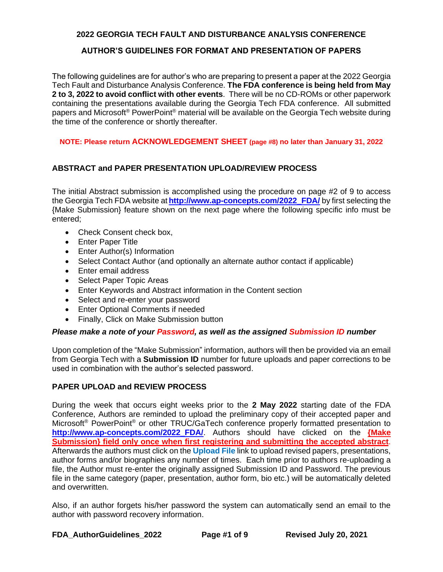# **AUTHOR'S GUIDELINES FOR FORMAT AND PRESENTATION OF PAPERS**

The following guidelines are for author's who are preparing to present a paper at the 2022 Georgia Tech Fault and Disturbance Analysis Conference. **The FDA conference is being held from May 2 to 3, 2022 to avoid conflict with other events**. There will be no CD-ROMs or other paperwork containing the presentations available during the Georgia Tech FDA conference. All submitted papers and Microsoft® PowerPoint® material will be available on the Georgia Tech website during the time of the conference or shortly thereafter.

**NOTE: Please return ACKNOWLEDGEMENT SHEET (page #8) no later than January 31, 2022**

# **ABSTRACT and PAPER PRESENTATION UPLOAD/REVIEW PROCESS**

The initial Abstract submission is accomplished using the procedure on page #2 of 9 to access the Georgia Tech FDA website at **[http://www.ap-concepts.com/2022\\_FDA/](http://www.ap-concepts.com/2022_FDA/)** by first selecting the {Make Submission} feature shown on the next page where the following specific info must be entered;

- Check Consent check box,
- Enter Paper Title
- Enter Author(s) Information
- Select Contact Author (and optionally an alternate author contact if applicable)
- Enter email address
- Select Paper Topic Areas
- Enter Keywords and Abstract information in the Content section
- Select and re-enter your password
- Enter Optional Comments if needed
- Finally, Click on Make Submission button

## *Please make a note of your Password, as well as the assigned Submission ID number*

Upon completion of the "Make Submission" information, authors will then be provided via an email from Georgia Tech with a **Submission ID** number for future uploads and paper corrections to be used in combination with the author's selected password.

## **PAPER UPLOAD and REVIEW PROCESS**

During the week that occurs eight weeks prior to the **2 May 2022** starting date of the FDA Conference, Authors are reminded to upload the preliminary copy of their accepted paper and Microsoft® PowerPoint® or other TRUC/GaTech conference properly formatted presentation to **http://www.ap-concepts.com/2022\_FDA/**. Authors should have clicked on the **{Make Submission} field only once when first registering and submitting the accepted abstract**. Afterwards the authors must click on the **Upload File** link to upload revised papers, presentations, author forms and/or biographies any number of times. Each time prior to authors re-uploading a file, the Author must re-enter the originally assigned Submission ID and Password. The previous file in the same category (paper, presentation, author form, bio etc.) will be automatically deleted and overwritten.

Also, if an author forgets his/her password the system can automatically send an email to the author with password recovery information.

**FDA\_AuthorGuidelines\_2022 Page #1 of 9 Revised July 20, 2021**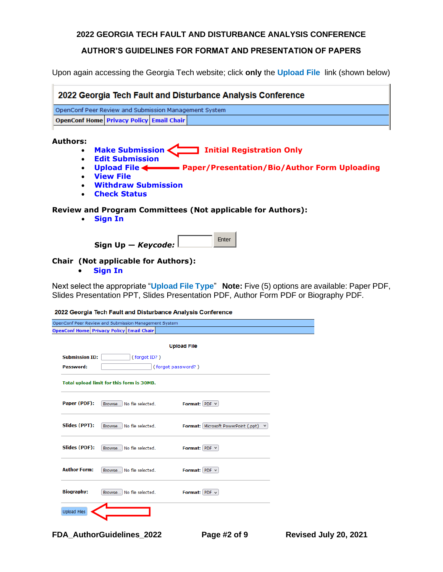#### **AUTHOR'S GUIDELINES FOR FORMAT AND PRESENTATION OF PAPERS**

Upon again accessing the Georgia Tech website; click **only** the **Upload File** link (shown below)

| 2022 Georgia Tech Fault and Disturbance Analysis Conference |                                           |  |                                  |  |  |  |  |  |
|-------------------------------------------------------------|-------------------------------------------|--|----------------------------------|--|--|--|--|--|
| OpenConf Peer Review and Submission Management System       |                                           |  |                                  |  |  |  |  |  |
| <b>OpenConf Home Privacy Policy Email Chair</b>             |                                           |  |                                  |  |  |  |  |  |
| Authors:<br>$\bullet$                                       | Make Submission<br><b>Edit Submission</b> |  | <b>Initial Registration Only</b> |  |  |  |  |  |

- **[Upload File](http://www.ap-concepts.com/2021_FDA/author/upload.php) Paper/Presentation/Bio/Author Form Uploading**
- **[View File](http://www.ap-concepts.com/2021_FDA/author/paper.php)**
- **[Withdraw Submission](http://www.ap-concepts.com/2021_FDA/author/withdraw.php)**
- **[Check Status](http://www.ap-concepts.com/2021_FDA/author/status.php)**

#### **Review and Program Committees (Not applicable for Authors):**

• **[Sign In](http://www.ap-concepts.com/2021_FDA/review/signin.php)**

|                        | Enter |
|------------------------|-------|
| Sign Up $-$ Keycode: L |       |

#### **Chair (Not applicable for Authors):**

• **[Sign In](http://www.ap-concepts.com/2021_FDA/chair/signin.php)**

Next select the appropriate "**Upload File Type**" **Note:** Five (5) options are available: Paper PDF, Slides Presentation PPT, Slides Presentation PDF, Author Form PDF or Biography PDF.

2022 Georgia Tech Fault and Disturbance Analysis Conference

| OpenConf Peer Review and Submission Management System |                             |                    |                                                            |  |  |  |  |  |  |
|-------------------------------------------------------|-----------------------------|--------------------|------------------------------------------------------------|--|--|--|--|--|--|
| <b>OpenConf Home Privacy Policy Email Chair</b>       |                             |                    |                                                            |  |  |  |  |  |  |
| <b>Upload File</b>                                    |                             |                    |                                                            |  |  |  |  |  |  |
| <b>Submission ID:</b>                                 |                             | (forgot ID?)       |                                                            |  |  |  |  |  |  |
| Password:                                             |                             | (forgot password?) |                                                            |  |  |  |  |  |  |
| Total upload limit for this form is 30MB.             |                             |                    |                                                            |  |  |  |  |  |  |
| Paper (PDF):                                          | Browse No file selected.    |                    | Format: PDF v                                              |  |  |  |  |  |  |
| Slides (PPT):                                         | Browse No file selected.    |                    | <b>Format: Microsoft PowerPoint (.ppt)</b><br>$\checkmark$ |  |  |  |  |  |  |
| Slides (PDF):                                         | Browse No file selected.    |                    | Format: PDF v                                              |  |  |  |  |  |  |
| <b>Author Form:</b>                                   | Browse No file selected.    |                    | Format: PDF v                                              |  |  |  |  |  |  |
| <b>Biography:</b>                                     | No file selected.<br>Browse |                    | Format: $PDF \sim$                                         |  |  |  |  |  |  |
| <b>Upload Files</b>                                   |                             |                    |                                                            |  |  |  |  |  |  |

**FDA\_AuthorGuidelines\_2022 Page #2 of 9 Revised July 20, 2021**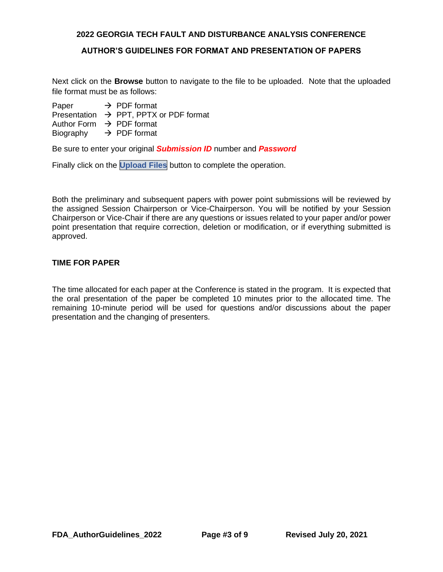#### **AUTHOR'S GUIDELINES FOR FORMAT AND PRESENTATION OF PAPERS**

Next click on the **Browse** button to navigate to the file to be uploaded. Note that the uploaded file format must be as follows:

Paper  $\rightarrow$  PDF format

Presentation → PPT, PPTX or PDF format

Author Form  $\rightarrow$  PDF format

Biography  $\rightarrow$  PDF format

Be sure to enter your original *Submission ID* number and *Password*

Finally click on the **Upload Files** button to complete the operation.

Both the preliminary and subsequent papers with power point submissions will be reviewed by the assigned Session Chairperson or Vice-Chairperson. You will be notified by your Session Chairperson or Vice-Chair if there are any questions or issues related to your paper and/or power point presentation that require correction, deletion or modification, or if everything submitted is approved.

## **TIME FOR PAPER**

The time allocated for each paper at the Conference is stated in the program. It is expected that the oral presentation of the paper be completed 10 minutes prior to the allocated time. The remaining 10-minute period will be used for questions and/or discussions about the paper presentation and the changing of presenters.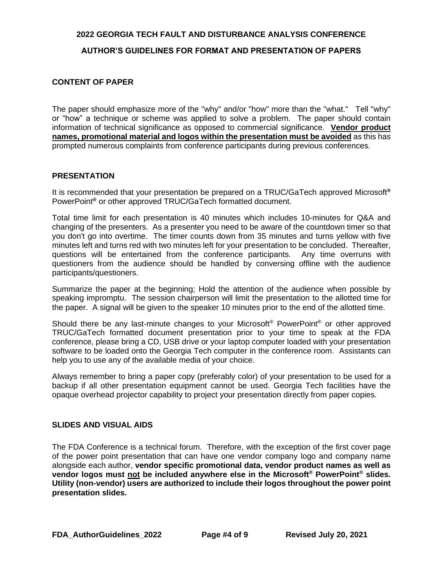#### **AUTHOR'S GUIDELINES FOR FORMAT AND PRESENTATION OF PAPERS**

#### **CONTENT OF PAPER**

The paper should emphasize more of the "why" and/or "how" more than the "what." Tell "why" or "how" a technique or scheme was applied to solve a problem. The paper should contain information of technical significance as opposed to commercial significance. **Vendor product names, promotional material and logos within the presentation must be avoided** as this has prompted numerous complaints from conference participants during previous conferences.

#### **PRESENTATION**

It is recommended that your presentation be prepared on a TRUC/GaTech approved Microsoft**®** PowerPoint**®** or other approved TRUC/GaTech formatted document.

Total time limit for each presentation is 40 minutes which includes 10-minutes for Q&A and changing of the presenters. As a presenter you need to be aware of the countdown timer so that you don't go into overtime. The timer counts down from 35 minutes and turns yellow with five minutes left and turns red with two minutes left for your presentation to be concluded. Thereafter, questions will be entertained from the conference participants. Any time overruns with questioners from the audience should be handled by conversing offline with the audience participants/questioners.

Summarize the paper at the beginning; Hold the attention of the audience when possible by speaking impromptu. The session chairperson will limit the presentation to the allotted time for the paper. A signal will be given to the speaker 10 minutes prior to the end of the allotted time.

Should there be any last-minute changes to your Microsoft<sup>®</sup> PowerPoint<sup>®</sup> or other approved TRUC/GaTech formatted document presentation prior to your time to speak at the FDA conference, please bring a CD, USB drive or your laptop computer loaded with your presentation software to be loaded onto the Georgia Tech computer in the conference room. Assistants can help you to use any of the available media of your choice.

Always remember to bring a paper copy (preferably color) of your presentation to be used for a backup if all other presentation equipment cannot be used. Georgia Tech facilities have the opaque overhead projector capability to project your presentation directly from paper copies.

## **SLIDES AND VISUAL AIDS**

The FDA Conference is a technical forum. Therefore, with the exception of the first cover page of the power point presentation that can have one vendor company logo and company name alongside each author, **vendor specific promotional data, vendor product names as well as vendor logos must not be included anywhere else in the Microsoft® PowerPoint® slides. Utility (non-vendor) users are authorized to include their logos throughout the power point presentation slides.**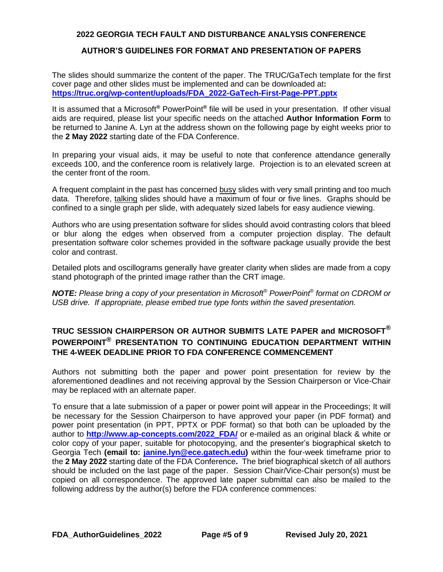# **AUTHOR'S GUIDELINES FOR FORMAT AND PRESENTATION OF PAPERS**

The slides should summarize the content of the paper. The TRUC/GaTech template for the first cover page and other slides must be implemented and can be downloaded at**: [https://truc.org/wp-content/uploads/FDA\\_2022-GaTech-First-Page-PPT.pptx](https://truc.org/wp-content/uploads/FDA_2022-GaTech-First-Page-PPT.pptx)**

It is assumed that a Microsoft**®** PowerPoint**®** file will be used in your presentation. If other visual aids are required, please list your specific needs on the attached **Author Information Form** to be returned to Janine A. Lyn at the address shown on the following page by eight weeks prior to the **2 May 2022** starting date of the FDA Conference.

In preparing your visual aids, it may be useful to note that conference attendance generally exceeds 100, and the conference room is relatively large. Projection is to an elevated screen at the center front of the room.

A frequent complaint in the past has concerned busy slides with very small printing and too much data. Therefore, talking slides should have a maximum of four or five lines. Graphs should be confined to a single graph per slide, with adequately sized labels for easy audience viewing.

Authors who are using presentation software for slides should avoid contrasting colors that bleed or blur along the edges when observed from a computer projection display. The default presentation software color schemes provided in the software package usually provide the best color and contrast.

Detailed plots and oscillograms generally have greater clarity when slides are made from a copy stand photograph of the printed image rather than the CRT image.

*NOTE: Please bring a copy of your presentation in Microsoft® PowerPoint® format on CDROM or USB drive. If appropriate, please embed true type fonts within the saved presentation.*

# **TRUC SESSION CHAIRPERSON OR AUTHOR SUBMITS LATE PAPER and MICROSOFT® POWERPOINT® PRESENTATION TO CONTINUING EDUCATION DEPARTMENT WITHIN THE 4-WEEK DEADLINE PRIOR TO FDA CONFERENCE COMMENCEMENT**

Authors not submitting both the paper and power point presentation for review by the aforementioned deadlines and not receiving approval by the Session Chairperson or Vice-Chair may be replaced with an alternate paper.

To ensure that a late submission of a paper or power point will appear in the Proceedings; It will be necessary for the Session Chairperson to have approved your paper (in PDF format) and power point presentation (in PPT, PPTX or PDF format) so that both can be uploaded by the author to **http://www.ap-concepts.com/2022\_FDA/** or e-mailed as an original black & white or color copy of your paper, suitable for photocopying, and the presenter's biographical sketch to Georgia Tech **(email to: [janine.lyn@ece.gatech.edu\)](mailto:janine.lyn@ece.gatech.edu)** within the four-week timeframe prior to the **2 May 2022** starting date of the FDA Conference**.** The brief biographical sketch of all authors should be included on the last page of the paper. Session Chair/Vice-Chair person(s) must be copied on all correspondence. The approved late paper submittal can also be mailed to the following address by the author(s) before the FDA conference commences: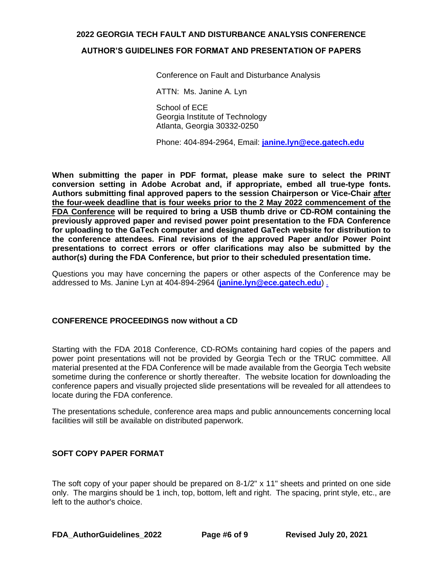#### **AUTHOR'S GUIDELINES FOR FORMAT AND PRESENTATION OF PAPERS**

Conference on Fault and Disturbance Analysis

ATTN: Ms. Janine A. Lyn

School of ECE Georgia Institute of Technology Atlanta, Georgia 30332-0250

Phone: 404-894-2964, Email: **[janine.lyn@ece.gatech.edu](mailto:janine.lyn@ece.gatech.edu)**

**When submitting the paper in PDF format, please make sure to select the PRINT conversion setting in Adobe Acrobat and, if appropriate, embed all true-type fonts. Authors submitting final approved papers to the session Chairperson or Vice-Chair after the four-week deadline that is four weeks prior to the 2 May 2022 commencement of the FDA Conference will be required to bring a USB thumb drive or CD-ROM containing the previously approved paper and revised power point presentation to the FDA Conference for uploading to the GaTech computer and designated GaTech website for distribution to the conference attendees. Final revisions of the approved Paper and/or Power Point presentations to correct errors or offer clarifications may also be submitted by the author(s) during the FDA Conference, but prior to their scheduled presentation time.**

Questions you may have concerning the papers or other aspects of the Conference may be addressed to Ms. Janine Lyn at 404-894-2964 (**[janine.lyn@ece.gatech.edu](mailto:janine.lyn@ece.gatech.edu)**) .

#### **CONFERENCE PROCEEDINGS now without a CD**

Starting with the FDA 2018 Conference, CD-ROMs containing hard copies of the papers and power point presentations will not be provided by Georgia Tech or the TRUC committee. All material presented at the FDA Conference will be made available from the Georgia Tech website sometime during the conference or shortly thereafter. The website location for downloading the conference papers and visually projected slide presentations will be revealed for all attendees to locate during the FDA conference.

The presentations schedule, conference area maps and public announcements concerning local facilities will still be available on distributed paperwork.

# **SOFT COPY PAPER FORMAT**

The soft copy of your paper should be prepared on 8-1/2" x 11" sheets and printed on one side only. The margins should be 1 inch, top, bottom, left and right. The spacing, print style, etc., are left to the author's choice.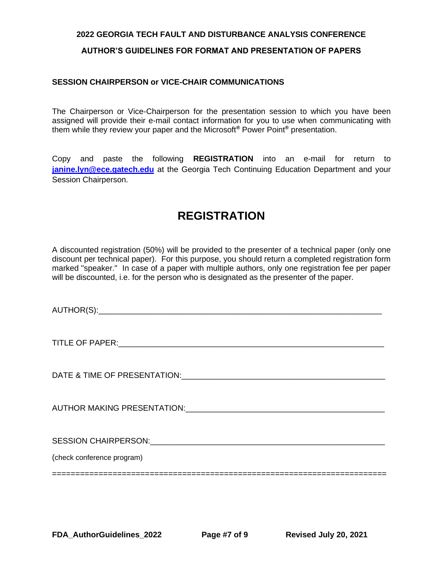#### **AUTHOR'S GUIDELINES FOR FORMAT AND PRESENTATION OF PAPERS**

#### **SESSION CHAIRPERSON or VICE-CHAIR COMMUNICATIONS**

The Chairperson or Vice-Chairperson for the presentation session to which you have been assigned will provide their e-mail contact information for you to use when communicating with them while they review your paper and the Microsoft**®** Power Point**®** presentation.

Copy and paste the following **REGISTRATION** into an e-mail for return to **[janine.lyn@ece.gatech.edu](mailto:janine.lyn@ece.gatech.edu)** at the Georgia Tech Continuing Education Department and your Session Chairperson.

# **REGISTRATION**

A discounted registration (50%) will be provided to the presenter of a technical paper (only one discount per technical paper). For this purpose, you should return a completed registration form marked "speaker." In case of a paper with multiple authors, only one registration fee per paper will be discounted, i.e. for the person who is designated as the presenter of the paper.

AUTHOR(S):\_\_\_\_\_\_\_\_\_\_\_\_\_\_\_\_\_\_\_\_\_\_\_\_\_\_\_\_\_\_\_\_\_\_\_\_\_\_\_\_\_\_\_\_\_\_\_\_\_\_\_\_\_\_\_\_\_\_\_\_\_\_\_\_

TITLE OF PAPER:

DATE & TIME OF PRESENTATION:\_\_\_\_\_\_\_\_\_\_\_\_\_\_\_\_\_\_\_\_\_\_\_\_\_\_\_\_\_\_\_\_\_\_\_\_\_\_\_\_\_\_\_\_\_\_

AUTHOR MAKING PRESENTATION: AUTHOR MAKING PRESENTATION:

========================================================================

SESSION CHAIRPERSON: The set of the set of the set of the set of the set of the set of the set of the set of the set of the set of the set of the set of the set of the set of the set of the set of the set of the set of the

(check conference program)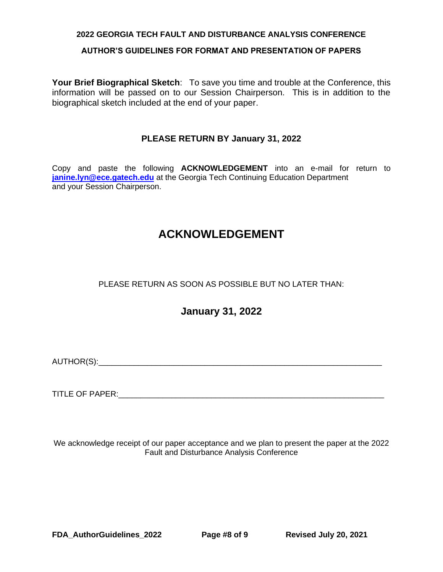#### **AUTHOR'S GUIDELINES FOR FORMAT AND PRESENTATION OF PAPERS**

**Your Brief Biographical Sketch**: To save you time and trouble at the Conference, this information will be passed on to our Session Chairperson. This is in addition to the biographical sketch included at the end of your paper.

# **PLEASE RETURN BY January 31, 2022**

Copy and paste the following **ACKNOWLEDGEMENT** into an e-mail for return to **[janine.lyn@ece.gatech.edu](mailto:janine.lyn@ece.gatech.edu)** at the Georgia Tech Continuing Education Department and your Session Chairperson.

# **ACKNOWLEDGEMENT**

# PLEASE RETURN AS SOON AS POSSIBLE BUT NO LATER THAN:

# **January 31, 2022**

AUTHOR(S):\_\_\_\_\_\_\_\_\_\_\_\_\_\_\_\_\_\_\_\_\_\_\_\_\_\_\_\_\_\_\_\_\_\_\_\_\_\_\_\_\_\_\_\_\_\_\_\_\_\_\_\_\_\_\_\_\_\_\_\_\_\_\_\_

TITLE OF PAPER: THE SERVICE OF STRAINING STRAINING STRAINING STRAINING STRAINING STRAINING STRAINING STRAINING STRAINING STRAINING STRAINING STRAINING STRAINING STRAINING STRAINING STRAINING STRAINING STRAINING STRAINING S

We acknowledge receipt of our paper acceptance and we plan to present the paper at the 2022 Fault and Disturbance Analysis Conference